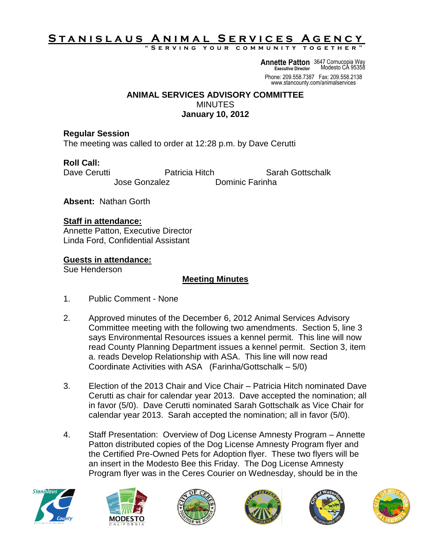# **S t a n i s l a u s A n i m a l S e r v i c e s A g e n c y**

**" S e r v i n g y o u r c o m m u n i t y t o g e t h e r "**

**Annette Patton** 3647 Cornucopia Way **Executive Director** Modesto CA 95358

Phone: 209.558.7387 Fax: 209.558.2138 www.stancounty.com/animalservices

#### **ANIMAL SERVICES ADVISORY COMMITTEE MINUTES January 10, 2012**

#### **Regular Session**

The meeting was called to order at 12:28 p.m. by Dave Cerutti

# **Roll Call:**

Dave Cerutti **Natricia Hitch** Sarah Gottschalk Jose Gonzalez Dominic Farinha

**Absent:** Nathan Gorth

### **Staff in attendance:**

Annette Patton, Executive Director Linda Ford, Confidential Assistant

### **Guests in attendance:**

Sue Henderson

## **Meeting Minutes**

- 1. Public Comment None
- 2. Approved minutes of the December 6, 2012 Animal Services Advisory Committee meeting with the following two amendments. Section 5, line 3 says Environmental Resources issues a kennel permit. This line will now read County Planning Department issues a kennel permit. Section 3, item a. reads Develop Relationship with ASA. This line will now read Coordinate Activities with ASA (Farinha/Gottschalk – 5/0)
- 3. Election of the 2013 Chair and Vice Chair Patricia Hitch nominated Dave Cerutti as chair for calendar year 2013. Dave accepted the nomination; all in favor (5/0). Dave Cerutti nominated Sarah Gottschalk as Vice Chair for calendar year 2013. Sarah accepted the nomination; all in favor (5/0).
- 4. Staff Presentation: Overview of Dog License Amnesty Program Annette Patton distributed copies of the Dog License Amnesty Program flyer and the Certified Pre-Owned Pets for Adoption flyer. These two flyers will be an insert in the Modesto Bee this Friday. The Dog License Amnesty Program flyer was in the Ceres Courier on Wednesday, should be in the